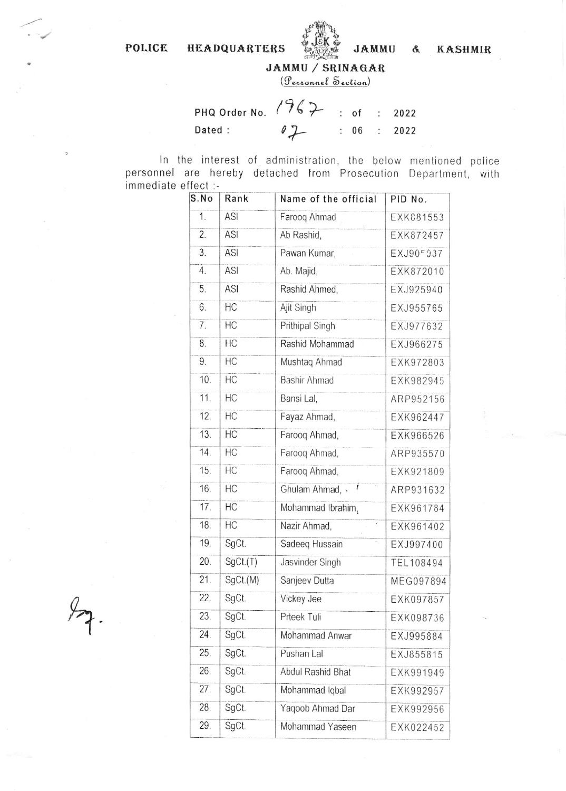POLICE HEADQUARTERS



JAMMU & KASHMIR

JAMMU / SRINAGAR

(Personnel Section)

PHQ Order No.  $1962$  : of : 2022 Dated :  $07$  $: 06 :$ 2022

In the interest of administration, the below mentioned police personnel are hereby detached from Prosecution Department, with immediate effect :-

| S.No | Rank     | Name of the official       | PID No.   |
|------|----------|----------------------------|-----------|
| 1.   | ASI      | Farooq Ahmad               | EXK081553 |
| 2.   | ASI      | Ab Rashid,                 | EXK872457 |
| 3.   | ASI      | Pawan Kumar,               | EXJ90F937 |
| 4.   | ASI      | Ab. Majid,                 | EXK872010 |
| 5.   | ASI      | Rashid Ahmed,              | EXJ925940 |
| 6.   | HC       | Ajit Singh                 | EXJ955765 |
| 7.   | HC       | Prithipal Singh            | EXJ977632 |
| 8.   | HC       | Rashid Mohammad            | EXJ966275 |
| 9.   | HC       | Mushtaq Ahmad              | EXK972803 |
| 10.  | HC       | <b>Bashir Ahmad</b>        | EXK982945 |
| 11.  | HC       | Bansi Lal,                 | ARP952156 |
| 12.  | HC       | Fayaz Ahmad,               | EXK962447 |
| 13.  | HC       | Farooq Ahmad,              | EXK966526 |
| 14.  | HC       | Farooq Ahmad,              | ARP935570 |
| 15.  | HC       | Farooq Ahmad,              | EXK921809 |
| 16.  | HC       | Ghulam Ahmad, v            | ARP931632 |
| 17.  | HC       | Mohammad Ibrahim,          | EXK961784 |
| 18.  | HC       | Nazir Ahmad,<br>$\epsilon$ | EXK961402 |
| 19.  | SgCt.    | Sadeeq Hussain             | EXJ997400 |
| 20.  | SgCt.(T) | Jasvinder Singh            | TEL108494 |
| 21.  | SgCt.(M) | Sanjeev Dutta              | MEG097894 |
| 22.  | SgCt.    | Vickey Jee                 | EXK097857 |
| 23.  | SgCt.    | Prteek Tuli                | EXK098736 |
| 24.  | SgCt.    | Mohammad Anwar             | EXJ995884 |
| 25.  | SgCt.    | Pushan Lal                 | EXJ855815 |
| 26.  | SgCt.    | <b>Abdul Rashid Bhat</b>   | EXK991949 |
| 27.  | SgCt.    | Mohammad Iqbal             | EXK992957 |
| 28.  | SgCt.    | Yaqoob Ahmad Dar           | EXK992956 |
| 29.  | SgCt.    | Mohammad Yaseen            | EXK022452 |
|      |          |                            |           |